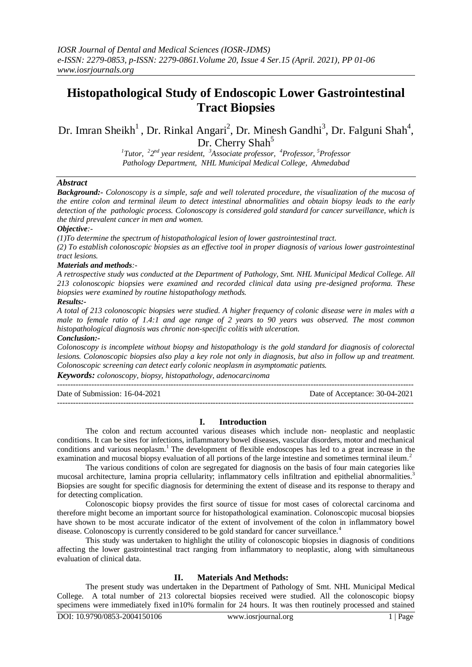# **Histopathological Study of Endoscopic Lower Gastrointestinal Tract Biopsies**

Dr. Imran Sheikh<sup>1</sup>, Dr. Rinkal Angari<sup>2</sup>, Dr. Minesh Gandhi<sup>3</sup>, Dr. Falguni Shah<sup>4</sup>, Dr. Cherry Shah<sup>5</sup>

> *1 Tutor, <sup>2</sup> 2 nd year resident, <sup>3</sup>Associate professor, <sup>4</sup>Professor, <sup>5</sup>Professor Pathology Department, NHL Municipal Medical College, Ahmedabad*

# *Abstract*

*Background:- Colonoscopy is a simple, safe and well tolerated procedure, the visualization of the mucosa of the entire colon and terminal ileum to detect intestinal abnormalities and obtain biopsy leads to the early detection of the pathologic process. Colonoscopy is considered gold standard for cancer surveillance, which is the third prevalent cancer in men and women.*

## *Objective:-*

*(1)To determine the spectrum of histopathological lesion of lower gastrointestinal tract.*

*(2) To establish colonoscopic biopsies as an effective tool in proper diagnosis of various lower gastrointestinal tract lesions.*

## *Materials and methods:-*

*A retrospective study was conducted at the Department of Pathology, Smt. NHL Municipal Medical College. All 213 colonoscopic biopsies were examined and recorded clinical data using pre-designed proforma. These biopsies were examined by routine histopathology methods.*

### *Results:-*

*A total of 213 colonoscopic biopsies were studied. A higher frequency of colonic disease were in males with a male to female ratio of 1.4:1 and age range of 2 years to 90 years was observed. The most common histopathological diagnosis was chronic non-specific colitis with ulceration.*

### *Conclusion:-*

*Colonoscopy is incomplete without biopsy and histopathology is the gold standard for diagnosis of colorectal lesions. Colonoscopic biopsies also play a key role not only in diagnosis, but also in follow up and treatment. Colonoscopic screening can detect early colonic neoplasm in asymptomatic patients.*

*Keywords: colonoscopy, biopsy, histopathology, adenocarcinoma*

| Date of Submission: 16-04-2021 | Date of Acceptance: 30-04-2021 |
|--------------------------------|--------------------------------|
|                                |                                |

# **I. Introduction**

The colon and rectum accounted various diseases which include non- neoplastic and neoplastic conditions. It can be sites for infections, inflammatory bowel diseases, vascular disorders, motor and mechanical conditions and various neoplasm.<sup>1</sup> The development of flexible endoscopes has led to a great increase in the examination and mucosal biopsy evaluation of all portions of the large intestine and sometimes terminal ileum.<sup>2</sup>

The various conditions of colon are segregated for diagnosis on the basis of four main categories like mucosal architecture, lamina propria cellularity; inflammatory cells infiltration and epithelial abnormalities.<sup>3</sup> Biopsies are sought for specific diagnosis for determining the extent of disease and its response to therapy and for detecting complication.

Colonoscopic biopsy provides the first source of tissue for most cases of colorectal carcinoma and therefore might become an important source for histopathological examination. Colonoscopic mucosal biopsies have shown to be most accurate indicator of the extent of involvement of the colon in inflammatory bowel disease. Colonoscopy is currently considered to be gold standard for cancer surveillance.<sup>4</sup>

This study was undertaken to highlight the utility of colonoscopic biopsies in diagnosis of conditions affecting the lower gastrointestinal tract ranging from inflammatory to neoplastic, along with simultaneous evaluation of clinical data.

# **II. Materials And Methods:**

The present study was undertaken in the Department of Pathology of Smt. NHL Municipal Medical College. A total number of 213 colorectal biopsies received were studied. All the colonoscopic biopsy specimens were immediately fixed in10% formalin for 24 hours. It was then routinely processed and stained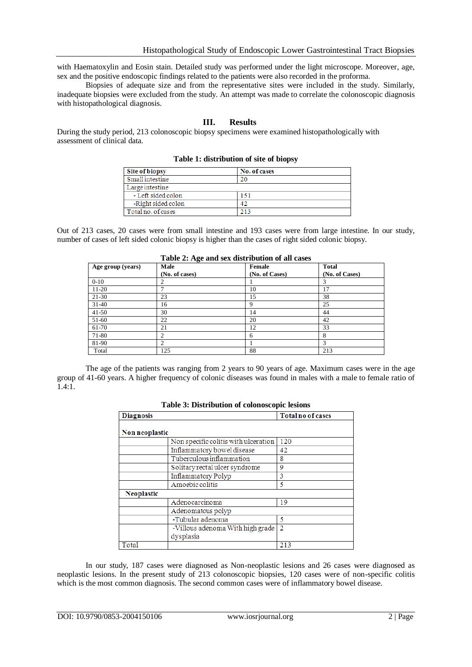with Haematoxylin and Eosin stain. Detailed study was performed under the light microscope. Moreover, age, sex and the positive endoscopic findings related to the patients were also recorded in the proforma.

Biopsies of adequate size and from the representative sites were included in the study. Similarly, inadequate biopsies were excluded from the study. An attempt was made to correlate the colonoscopic diagnosis with histopathological diagnosis.

## **III. Results**

During the study period, 213 colonoscopic biopsy specimens were examined histopathologically with assessment of clinical data.

| <b>Site of biopsy</b> | No. of cases |  |
|-----------------------|--------------|--|
| Small intestine       |              |  |
| Large intestine       |              |  |
| - Left sided colon    | 151          |  |
| -Right sided colon    | 42           |  |
| Total no. of cases    | 213          |  |

**Table 1: distribution of site of biopsy**

Out of 213 cases, 20 cases were from small intestine and 193 cases were from large intestine. In our study, number of cases of left sided colonic biopsy is higher than the cases of right sided colonic biopsy.

| Table 2: Age and sex distribution of all cases |                        |                          |                                |
|------------------------------------------------|------------------------|--------------------------|--------------------------------|
| Age group (years)                              | Male<br>(No. of cases) | Female<br>(No. of Cases) | <b>Total</b><br>(No. of Cases) |
| $0 - 10$                                       | 2                      |                          |                                |
| $11-20$                                        | ⇁                      | 10                       | 17                             |
| $21-30$                                        | 23                     | 15                       | 38                             |
| $31-40$                                        | 16                     | Q                        | 25                             |
| $41 - 50$                                      | 30                     | 14                       | 44                             |
| 51-60                                          | 22                     | 20                       | 42                             |
| 61-70                                          | 21                     | 12                       | 33                             |
| 71-80                                          | 2                      | 6                        | 8                              |
| 81-90                                          | 2                      |                          | 3                              |
| Total                                          | 125                    | 88                       | 213                            |

The age of the patients was ranging from 2 years to 90 years of age. Maximum cases were in the age group of 41-60 years. A higher frequency of colonic diseases was found in males with a male to female ratio of 1.4:1.

| <b>Diagnosis</b>  |                                               | <b>Total no of cases</b> |  |
|-------------------|-----------------------------------------------|--------------------------|--|
| Non neoplastic    |                                               |                          |  |
|                   | Non specific colitis with ulceration          | 120                      |  |
|                   | Inflammatory bowel disease                    | 42                       |  |
|                   | Tuberculous inflammation                      | 8                        |  |
|                   | Solitary rectal ulcer syndrome                | 9                        |  |
|                   | <b>Inflammatory Polyp</b>                     | 3                        |  |
|                   | Amoebic colitis                               | 5                        |  |
| <b>Neoplastic</b> |                                               |                          |  |
|                   | Adenocarcinoma                                | 19                       |  |
|                   | Adenomatous polyp                             |                          |  |
|                   | -Tubular adenoma                              | 5                        |  |
|                   | -Villous adenoma With high grade<br>dysplasia | $\overline{2}$           |  |
| Total             |                                               | 213                      |  |

**Table 3: Distribution of colonoscopic lesions**

In our study, 187 cases were diagnosed as Non-neoplastic lesions and 26 cases were diagnosed as neoplastic lesions. In the present study of 213 colonoscopic biopsies, 120 cases were of non-specific colitis which is the most common diagnosis. The second common cases were of inflammatory bowel disease.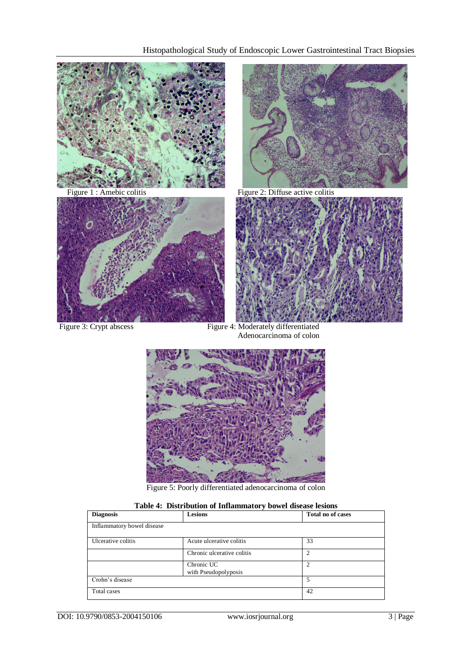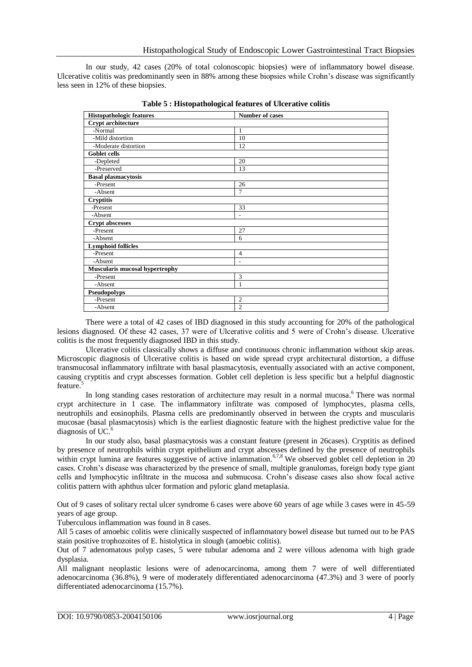In our study, 42 cases (20% of total colonoscopic biopsies) were of inflammatory bowel disease. Ulcerative colitis was predominantly seen in 88% among these biopsies while Crohn's disease was significantly less seen in 12% of these biopsies.

| <b>Histopathologic features</b>       | <b>Number of cases</b>   |  |
|---------------------------------------|--------------------------|--|
| Crypt architecture                    |                          |  |
| -Normal                               | 1                        |  |
| -Mild distortion                      | 10                       |  |
| -Moderate distortion                  | 12                       |  |
| Goblet cells                          |                          |  |
| -Depleted                             | 20                       |  |
| -Preserved                            | 13                       |  |
| <b>Basal plasmacytosis</b>            |                          |  |
| -Present                              | 26                       |  |
| -Absent                               | $\overline{7}$           |  |
| <b>Cryptitis</b>                      |                          |  |
| -Present                              | 33                       |  |
| -Absent                               | $\overline{a}$           |  |
| <b>Crypt abscesses</b>                |                          |  |
| -Present                              | 27                       |  |
| -Absent                               | 6                        |  |
| <b>Lymphoid follicles</b>             |                          |  |
| -Present                              | $\overline{4}$           |  |
| -Absent                               | $\overline{\phantom{a}}$ |  |
| <b>Muscularis mucosal hypertrophy</b> |                          |  |
| -Present                              | 3                        |  |
| -Absent                               | 1                        |  |
| Pseudopolyps                          |                          |  |
| -Present                              | $\overline{2}$           |  |
| -Absent                               | $\overline{2}$           |  |

**Table 5 : Histopathological features of Ulcerative colitis**

There were a total of 42 cases of IBD diagnosed in this study accounting for 20% of the pathological lesions diagnosed. Of these 42 cases, 37 were of Ulcerative colitis and 5 were of Crohn's disease. Ulcerative colitis is the most frequently diagnosed IBD in this study.

Ulcerative colitis classically shows a diffuse and continuous chronic inflammation without skip areas. Microscopic diagnosis of Ulcerative colitis is based on wide spread crypt architectural distortion, a diffuse transmucosal inflammatory infiltrate with basal plasmacytosis, eventually associated with an active component, causing cryptitis and crypt abscesses formation. Goblet cell depletion is less specific but a helpful diagnostic feature.<sup>5</sup>

In long standing cases restoration of architecture may result in a normal mucosa.<sup>6</sup> There was normal crypt architecture in 1 case. The inflammatory infiltrate was composed of lymphocytes, plasma cells, neutrophils and eosinophils. Plasma cells are predominantly observed in between the crypts and muscularis mucosae (basal plasmacytosis) which is the earliest diagnostic feature with the highest predictive value for the diagnosis of UC.

In our study also, basal plasmacytosis was a constant feature (present in 26cases). Cryptitis as defined by presence of neutrophils within crypt epithelium and crypt abscesses defined by the presence of neutrophils within crypt lumina are features suggestive of active inlammation.<sup>6,7,8</sup> We observed goblet cell depletion in 20 cases. Crohn's disease was characterized by the presence of small, multiple granulomas, foreign body type giant cells and lymphocytic infiltrate in the mucosa and submucosa. Crohn's disease cases also show focal active colitis pattern with aphthus ulcer formation and pyloric gland metaplasia.

Out of 9 cases of solitary rectal ulcer syndrome 6 cases were above 60 years of age while 3 cases were in 45-59 years of age group.

Tuberculous inflammation was found in 8 cases.

All 5 cases of amoebic colitis were clinically suspected of inflammatory bowel disease but turned out to be PAS stain positive trophozoites of E. histolytica in slough (amoebic colitis).

Out of 7 adenomatous polyp cases, 5 were tubular adenoma and 2 were villous adenoma with high grade dysplasia.

All malignant neoplastic lesions were of adenocarcinoma, among them 7 were of well differentiated adenocarcinoma (36.8%), 9 were of moderately differentiated adenocarcinoma (47.3%) and 3 were of poorly differentiated adenocarcinoma (15.7%).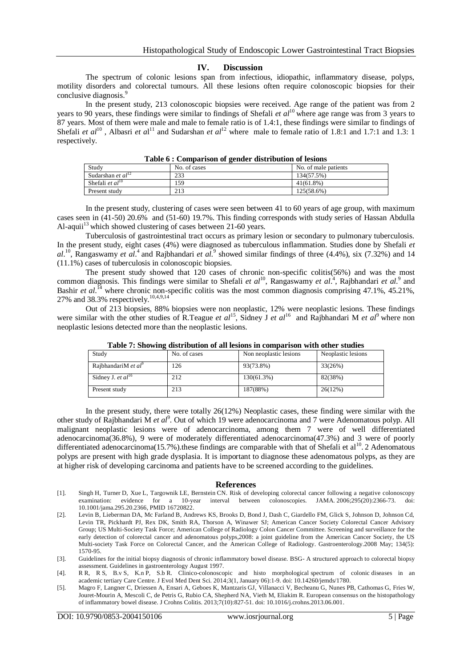### **IV. Discussion**

The spectrum of colonic lesions span from infectious, idiopathic, inflammatory disease, polyps, motility disorders and colorectal tumours. All these lesions often require colonoscopic biopsies for their conclusive diagnosis. 9

In the present study, 213 colonoscopic biopsies were received. Age range of the patient was from 2 years to 90 years, these findings were similar to findings of Shefali *et al*<sup>10</sup> where age range was from 3 years to 87 years. Most of them were male and male to female ratio is of 1.4:1, these findings were similar to findings of Shefali *et al*<sup>10</sup>, Albasri *et al*<sup>11</sup> and Sudarshan *et al*<sup>12</sup> where male to female ratio of 1.8:1 and 1.7:1 and 1.3: 1 respectively.

| Tuble o , comparison or centeer abstracted or resions |              |                      |
|-------------------------------------------------------|--------------|----------------------|
| Study                                                 | No. of cases | No. of male patients |
| Sudarshan <i>et al</i> <sup>12</sup>                  | 233          | 134(57.5%)           |
| Shefali <i>et al</i> <sup>10</sup>                    | 159          | $41(61.8\%)$         |
| Present study                                         | 213          | 125(58.6%)           |

**Table 6 : Comparison of gender distribution of lesions**

In the present study, clustering of cases were seen between 41 to 60 years of age group, with maximum cases seen in (41-50) 20.6% and (51-60) 19.7%. This finding corresponds with study series of Hassan Abdulla Al-aquii<sup>13</sup> which showed clustering of cases between 21-60 years.

Tuberculosis of gastrointestinal tract occurs as primary lesion or secondary to pulmonary tuberculosis. In the present study, eight cases (4%) were diagnosed as tuberculous inflammation. Studies done by Shefali *et*   $al$ <sup>10</sup>, Rangaswamy *et al*.<sup>4</sup> and Rajbhandari *et al.*<sup>9</sup> showed similar findings of three (4.4%), six (7.32%) and 14 (11.1%) cases of tuberculosis in colonoscopic biopsies.

The present study showed that 120 cases of chronic non-specific colitis(56%) and was the most common diagnosis. This findings were similar to Shefali *et al*<sup>10</sup>, Rangaswamy *et al.*<sup>4</sup>, Rajbhandari *et al.*<sup>9</sup> and Bashir *et al.*<sup>14</sup> where chronic non-specific colitis was the most common diagnosis comprising 47.1%, 45.21%, 27% and 38.3% respectively.<sup>10,4,9,14</sup>

Out of 213 biopsies, 88% biopsies were non neoplastic, 12% were neoplastic lesions. These findings were similar with the other studies of R.Teague *et al*<sup>15</sup>, Sidney J *et al*<sup>16</sup> and Rajbhandari M *et al*<sup>9</sup> where non neoplastic lesions detected more than the neoplastic lesions.

| Study                           | No. of cases | Non neoplastic lesions | Neoplastic lesions |
|---------------------------------|--------------|------------------------|--------------------|
| RajbhandariM et al <sup>9</sup> | 126          | 93(73.8%)              | 33(26%)            |
| Sidney J. et $al^{16}$          | 212          | 130(61.3%)             | 82(38%)            |
| Present study                   | 213          | 187(88%)               | 26(12%)            |

**Table 7: Showing distribution of all lesions in comparison with other studies**

In the present study, there were totally 26(12%) Neoplastic cases, these finding were similar with the other study of Rajbhandari M et al<sup>9</sup>. Out of which 19 were adenocarcinoma and 7 were Adenomatous polyp. All malignant neoplastic lesions were of adenocarcinoma, among them 7 were of well differentiated adenocarcinoma(36.8%), 9 were of moderately differentiated adenocarcinoma(47.3%) and 3 were of poorly differentiated adenocarcinoma(15.7%).these findings are comparable with that of Shefali et al<sup>10</sup>. 2 Adenomatous polyps are present with high grade dysplasia. It is important to diagnose these adenomatous polyps, as they are at higher risk of developing carcinoma and patients have to be screened according to the guidelines.

### **References**

- [1]. Singh H, Turner D, Xue L, Targownik LE, Bernstein CN. Risk of developing colorectal cancer following a negative colonoscopy examination: evidence for a 10-year interval between colonoscopies. JAMA. 2006;295(20):2366-73. doi: [10.1001/jama.295.20.2366,](https://doi.org/10.1001/jama.295.20.2366) PMID [16720822.](https://www.ncbi.nlm.nih.gov/pubmed/16720822)
- [2]. Levin B, Lieberman DA, Mc Farland B, Andrews KS, Brooks D, Bond J, Dash C, Giardello FM, Glick S, Johnson D, Johnson Cd, Levin TR, Pickhardt PJ, Rex DK, Smith RA, Thorson A, Winawer SJ; American Cancer Society Colorectal Cancer Advisory Group; US Multi-Society Task Force; American College of Radiology Colon Cancer Committee. Screening and surveillance for the early detection of colorectal cancer and adenomatous polyps,2008: a joint guideline from the American Cancer Society, the US Multi-society Task Force on Colorectal Cancer, and the American College of Radiology. Gastroenterology.2008 May; 134(5): 1570-95.
- [3]. Guidelines for the initial biopsy diagnosis of chronic inflammatory bowel disease. BSG- A structured approach to colorectal biopsy assessment. Guidelines in gastroenterology August 1997.
- [4]. R R, R S, B.v S, K.n P, S.b R. Clinico-colonoscopic and histo morphological spectrum of colonic diseases in an academic tertiary Care Centre. J Evol Med Dent Sci. 2014;3(1, January 06):1-9. doi[: 10.14260/jemds/1780.](https://doi.org/10.14260/jemds/1780)
- [5]. Magro F, Langner C, Driessen A, Ensari A, Geboes K, Mantzaris GJ, Villanacci V, Becheanu G, Nunes PB, Cathomas G, Fries W, Jouret-Mourin A, Mescoli C, de Petris G, Rubio CA, Shepherd NA, Vieth M, Eliakim R. European consensus on the histopathology of inflammatory bowel disease. J Crohns Colitis. 2013;7(10):827-51. doi[: 10.1016/j.crohns.2013.06.001.](https://doi.org/10.1016/j.crohns.2013.06.001)